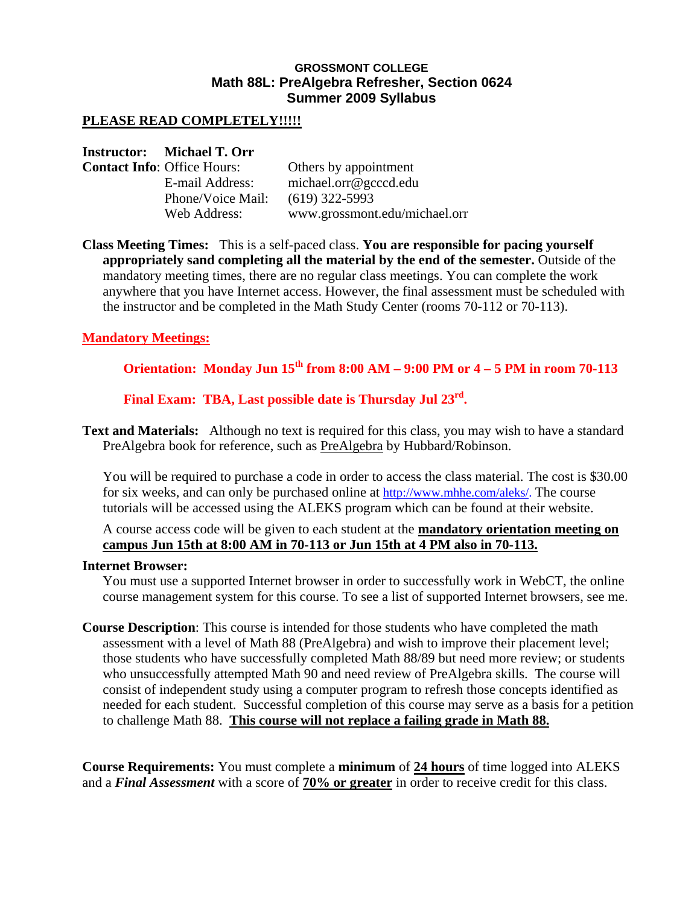## **GROSSMONT COLLEGE Math 88L: PreAlgebra Refresher, Section 0624 Summer 2009 Syllabus**

## **PLEASE READ COMPLETELY!!!!!**

### **Instructor: Michael T. Orr**

| <b>Contact Info: Office Hours:</b> | Others by appointment         |
|------------------------------------|-------------------------------|
| E-mail Address:                    | michael.org@gcccd.edu         |
| Phone/Voice Mail:                  | $(619)$ 322-5993              |
| Web Address:                       | www.grossmont.edu/michael.orr |

**Class Meeting Times:** This is a self-paced class. **You are responsible for pacing yourself appropriately sand completing all the material by the end of the semester.** Outside of the mandatory meeting times, there are no regular class meetings. You can complete the work anywhere that you have Internet access. However, the final assessment must be scheduled with the instructor and be completed in the Math Study Center (rooms 70-112 or 70-113).

## **Mandatory Meetings:**

# **Orientation: Monday Jun 15th from 8:00 AM – 9:00 PM or 4 – 5 PM in room 70-113**

**Final Exam: TBA, Last possible date is Thursday Jul 23rd.** 

**Text and Materials:** Although no text is required for this class, you may wish to have a standard PreAlgebra book for reference, such as PreAlgebra by Hubbard/Robinson.

You will be required to purchase a code in order to access the class material. The cost is \$30.00 for six weeks, and can only be purchased online at http://www.mhhe.com/aleks/. The course tutorials will be accessed using the ALEKS program which can be found at their website.

A course access code will be given to each student at the **mandatory orientation meeting on campus Jun 15th at 8:00 AM in 70-113 or Jun 15th at 4 PM also in 70-113.**

#### **Internet Browser:**

You must use a supported Internet browser in order to successfully work in WebCT, the online course management system for this course. To see a list of supported Internet browsers, see me.

**Course Description**: This course is intended for those students who have completed the math assessment with a level of Math 88 (PreAlgebra) and wish to improve their placement level; those students who have successfully completed Math 88/89 but need more review; or students who unsuccessfully attempted Math 90 and need review of PreAlgebra skills. The course will consist of independent study using a computer program to refresh those concepts identified as needed for each student. Successful completion of this course may serve as a basis for a petition to challenge Math 88. **This course will not replace a failing grade in Math 88.** 

**Course Requirements:** You must complete a **minimum** of **24 hours** of time logged into ALEKS and a *Final Assessment* with a score of **70% or greater** in order to receive credit for this class.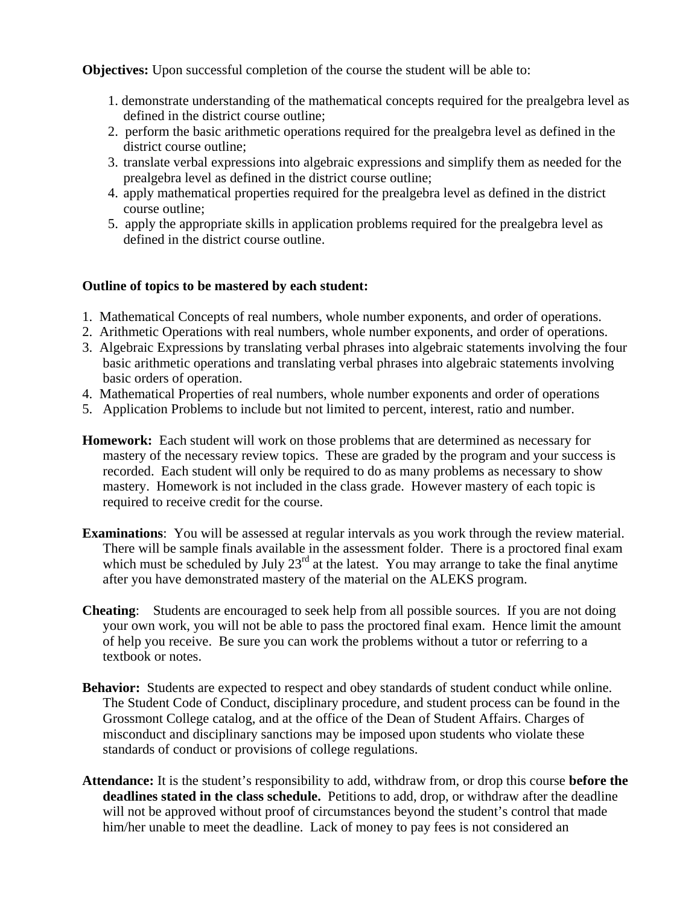**Objectives:** Upon successful completion of the course the student will be able to:

- 1. demonstrate understanding of the mathematical concepts required for the prealgebra level as defined in the district course outline;
- 2. perform the basic arithmetic operations required for the prealgebra level as defined in the district course outline;
- 3. translate verbal expressions into algebraic expressions and simplify them as needed for the prealgebra level as defined in the district course outline;
- 4. apply mathematical properties required for the prealgebra level as defined in the district course outline;
- 5. apply the appropriate skills in application problems required for the prealgebra level as defined in the district course outline.

# **Outline of topics to be mastered by each student:**

- 1. Mathematical Concepts of real numbers, whole number exponents, and order of operations.
- 2. Arithmetic Operations with real numbers, whole number exponents, and order of operations.
- 3. Algebraic Expressions by translating verbal phrases into algebraic statements involving the four basic arithmetic operations and translating verbal phrases into algebraic statements involving basic orders of operation.
- 4. Mathematical Properties of real numbers, whole number exponents and order of operations
- 5. Application Problems to include but not limited to percent, interest, ratio and number.
- **Homework:** Each student will work on those problems that are determined as necessary for mastery of the necessary review topics. These are graded by the program and your success is recorded. Each student will only be required to do as many problems as necessary to show mastery. Homework is not included in the class grade. However mastery of each topic is required to receive credit for the course.
- **Examinations**: You will be assessed at regular intervals as you work through the review material. There will be sample finals available in the assessment folder. There is a proctored final exam which must be scheduled by July  $23<sup>rd</sup>$  at the latest. You may arrange to take the final anytime after you have demonstrated mastery of the material on the ALEKS program.
- **Cheating**: Students are encouraged to seek help from all possible sources. If you are not doing your own work, you will not be able to pass the proctored final exam. Hence limit the amount of help you receive. Be sure you can work the problems without a tutor or referring to a textbook or notes.
- **Behavior:** Students are expected to respect and obey standards of student conduct while online. The Student Code of Conduct, disciplinary procedure, and student process can be found in the Grossmont College catalog, and at the office of the Dean of Student Affairs. Charges of misconduct and disciplinary sanctions may be imposed upon students who violate these standards of conduct or provisions of college regulations.
- **Attendance:** It is the student's responsibility to add, withdraw from, or drop this course **before the deadlines stated in the class schedule.** Petitions to add, drop, or withdraw after the deadline will not be approved without proof of circumstances beyond the student's control that made him/her unable to meet the deadline. Lack of money to pay fees is not considered an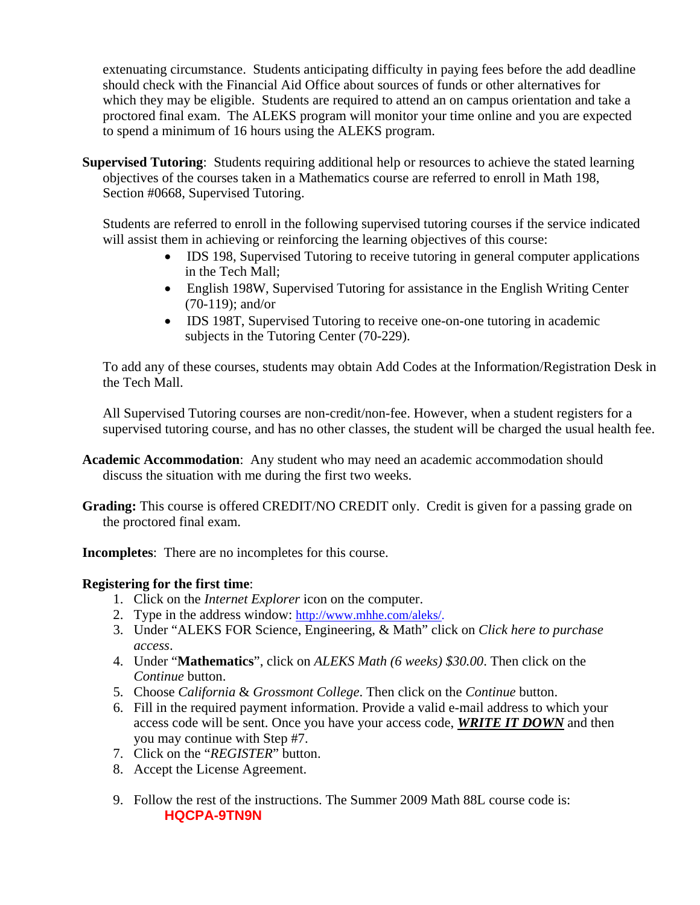extenuating circumstance. Students anticipating difficulty in paying fees before the add deadline should check with the Financial Aid Office about sources of funds or other alternatives for which they may be eligible. Students are required to attend an on campus orientation and take a proctored final exam. The ALEKS program will monitor your time online and you are expected to spend a minimum of 16 hours using the ALEKS program.

**Supervised Tutoring**: Students requiring additional help or resources to achieve the stated learning objectives of the courses taken in a Mathematics course are referred to enroll in Math 198, Section #0668, Supervised Tutoring.

Students are referred to enroll in the following supervised tutoring courses if the service indicated will assist them in achieving or reinforcing the learning objectives of this course:

- IDS 198, Supervised Tutoring to receive tutoring in general computer applications in the Tech Mall;
- English 198W, Supervised Tutoring for assistance in the English Writing Center (70-119); and/or
- IDS 198T, Supervised Tutoring to receive one-on-one tutoring in academic subjects in the Tutoring Center (70-229).

To add any of these courses, students may obtain Add Codes at the Information/Registration Desk in the Tech Mall.

All Supervised Tutoring courses are non-credit/non-fee. However, when a student registers for a supervised tutoring course, and has no other classes, the student will be charged the usual health fee.

- **Academic Accommodation**: Any student who may need an academic accommodation should discuss the situation with me during the first two weeks.
- **Grading:** This course is offered CREDIT/NO CREDIT only. Credit is given for a passing grade on the proctored final exam.

**Incompletes**: There are no incompletes for this course.

# **Registering for the first time**:

- 1. Click on the *Internet Explorer* icon on the computer.
- 2. Type in the address window: http://www.mhhe.com/aleks/.
- 3. Under "ALEKS FOR Science, Engineering, & Math" click on *Click here to purchase access*.
- 4. Under "**Mathematics**", click on *ALEKS Math (6 weeks) \$30.00*. Then click on the *Continue* button.
- 5. Choose *California* & *Grossmont College*. Then click on the *Continue* button.
- 6. Fill in the required payment information. Provide a valid e-mail address to which your access code will be sent. Once you have your access code, *WRITE IT DOWN* and then you may continue with Step #7.
- 7. Click on the "*REGISTER*" button.
- 8. Accept the License Agreement.
- 9. Follow the rest of the instructions. The Summer 2009 Math 88L course code is: **HQCPA-9TN9N**